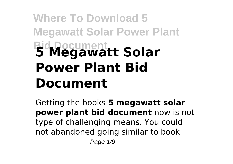# **Where To Download 5 Megawatt Solar Power Plant Bid Document 5 Megawatt Solar Power Plant Bid Document**

Getting the books **5 megawatt solar power plant bid document** now is not type of challenging means. You could not abandoned going similar to book Page 1/9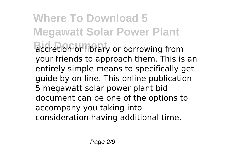**Where To Download 5 Megawatt Solar Power Plant Bidder** accretion or library or borrowing from your friends to approach them. This is an entirely simple means to specifically get guide by on-line. This online publication 5 megawatt solar power plant bid document can be one of the options to accompany you taking into consideration having additional time.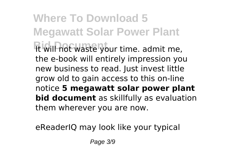**Where To Download 5 Megawatt Solar Power Plant Bid Document** It will not waste your time. admit me, the e-book will entirely impression you new business to read. Just invest little grow old to gain access to this on-line notice **5 megawatt solar power plant bid document** as skillfully as evaluation them wherever you are now.

eReaderIQ may look like your typical

Page 3/9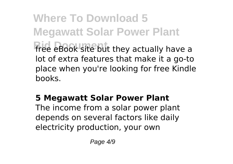**Where To Download 5 Megawatt Solar Power Plant** free eBook site but they actually have a lot of extra features that make it a go-to place when you're looking for free Kindle books.

## **5 Megawatt Solar Power Plant**

The income from a solar power plant depends on several factors like daily electricity production, your own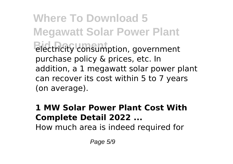**Where To Download 5 Megawatt Solar Power Plant Bid Document** electricity consumption, government purchase policy & prices, etc. In addition, a 1 megawatt solar power plant can recover its cost within 5 to 7 years (on average).

#### **1 MW Solar Power Plant Cost With Complete Detail 2022 ...**

How much area is indeed required for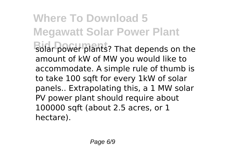**Where To Download 5 Megawatt Solar Power Plant** solar power plants? That depends on the amount of kW of MW you would like to accommodate. A simple rule of thumb is to take 100 sqft for every 1kW of solar panels.. Extrapolating this, a 1 MW solar PV power plant should require about 100000 sqft (about 2.5 acres, or 1 hectare).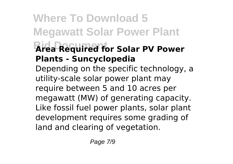## **Where To Download 5 Megawatt Solar Power Plant Bid Document Area Required for Solar PV Power Plants - Suncyclopedia** Depending on the specific technology, a

utility-scale solar power plant may require between 5 and 10 acres per megawatt (MW) of generating capacity. Like fossil fuel power plants, solar plant development requires some grading of land and clearing of vegetation.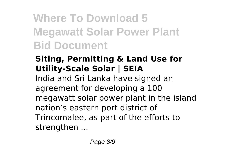# **Where To Download 5 Megawatt Solar Power Plant Bid Document**

## **Siting, Permitting & Land Use for Utility-Scale Solar | SEIA**

India and Sri Lanka have signed an agreement for developing a 100 megawatt solar power plant in the island nation's eastern port district of Trincomalee, as part of the efforts to strengthen ...